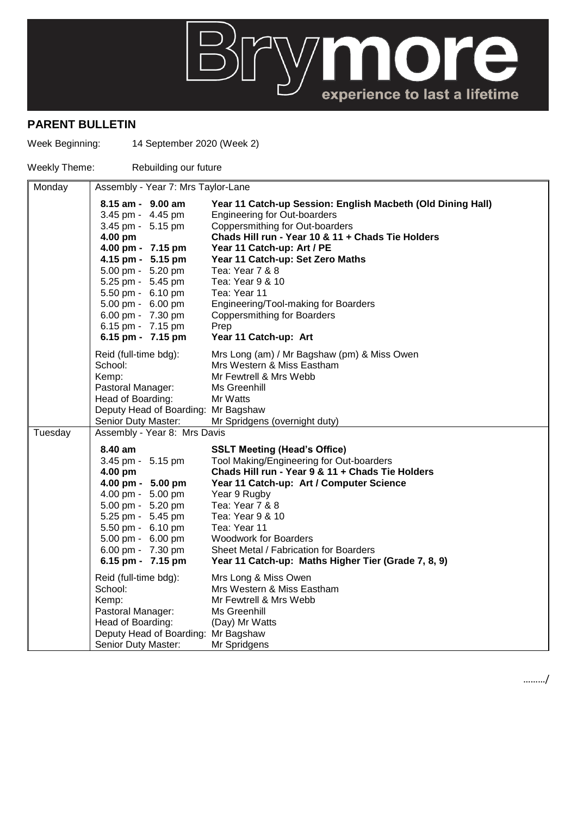## **BUYON OFFICE**

## **PARENT BULLETIN**

Week Beginning: 14 September 2020 (Week 2)

Weekly Theme: Rebuilding our future

| Monday  |                                                                                                                                                                                                                                                                         | Assembly - Year 7: Mrs Taylor-Lane                                                                                                                                                                                                                                                                                                                                                                                                 |  |  |
|---------|-------------------------------------------------------------------------------------------------------------------------------------------------------------------------------------------------------------------------------------------------------------------------|------------------------------------------------------------------------------------------------------------------------------------------------------------------------------------------------------------------------------------------------------------------------------------------------------------------------------------------------------------------------------------------------------------------------------------|--|--|
|         | $8.15$ am - $9.00$ am<br>3.45 pm - 4.45 pm<br>3.45 pm - 5.15 pm<br>4.00 pm<br>4.00 pm - 7.15 pm<br>4.15 pm - 5.15 pm<br>5.00 pm - 5.20 pm<br>5.25 pm - 5.45 pm<br>5.50 pm - 6.10 pm<br>5.00 pm - 6.00 pm<br>6.00 pm - 7.30 pm<br>6.15 pm - 7.15 pm<br>6.15 pm - 7.15 pm | Year 11 Catch-up Session: English Macbeth (Old Dining Hall)<br><b>Engineering for Out-boarders</b><br>Coppersmithing for Out-boarders<br>Chads Hill run - Year 10 & 11 + Chads Tie Holders<br>Year 11 Catch-up: Art / PE<br>Year 11 Catch-up: Set Zero Maths<br>Tea: Year 7 & 8<br>Tea: Year 9 & 10<br>Tea: Year 11<br>Engineering/Tool-making for Boarders<br><b>Coppersmithing for Boarders</b><br>Prep<br>Year 11 Catch-up: Art |  |  |
|         | Reid (full-time bdg):<br>School:<br>Kemp:<br>Pastoral Manager:<br>Head of Boarding:<br>Deputy Head of Boarding: Mr Bagshaw<br>Senior Duty Master:                                                                                                                       | Mrs Long (am) / Mr Bagshaw (pm) & Miss Owen<br>Mrs Western & Miss Eastham<br>Mr Fewtrell & Mrs Webb<br>Ms Greenhill<br>Mr Watts<br>Mr Spridgens (overnight duty)                                                                                                                                                                                                                                                                   |  |  |
| Tuesday | Assembly - Year 8: Mrs Davis                                                                                                                                                                                                                                            |                                                                                                                                                                                                                                                                                                                                                                                                                                    |  |  |
|         | 8.40 am<br>3.45 pm - 5.15 pm<br>4.00 pm<br>4.00 pm - 5.00 pm<br>4.00 pm - 5.00 pm<br>5.00 pm - 5.20 pm<br>5.25 pm - 5.45 pm<br>5.50 pm - 6.10 pm<br>5.00 pm - 6.00 pm<br>6.00 pm - 7.30 pm<br>6.15 pm - 7.15 pm                                                         | <b>SSLT Meeting (Head's Office)</b><br>Tool Making/Engineering for Out-boarders<br>Chads Hill run - Year 9 & 11 + Chads Tie Holders<br>Year 11 Catch-up: Art / Computer Science<br>Year 9 Rugby<br>Tea: Year 7 & 8<br>Tea: Year 9 & 10<br>Tea: Year 11<br><b>Woodwork for Boarders</b><br>Sheet Metal / Fabrication for Boarders<br>Year 11 Catch-up: Maths Higher Tier (Grade 7, 8, 9)                                            |  |  |
|         | Reid (full-time bdg):<br>School:<br>Kemp:<br>Pastoral Manager:<br>Head of Boarding:<br>Deputy Head of Boarding: Mr Bagshaw<br>Senior Duty Master:                                                                                                                       | Mrs Long & Miss Owen<br>Mrs Western & Miss Eastham<br>Mr Fewtrell & Mrs Webb<br>Ms Greenhill<br>(Day) Mr Watts<br>Mr Spridgens                                                                                                                                                                                                                                                                                                     |  |  |

………/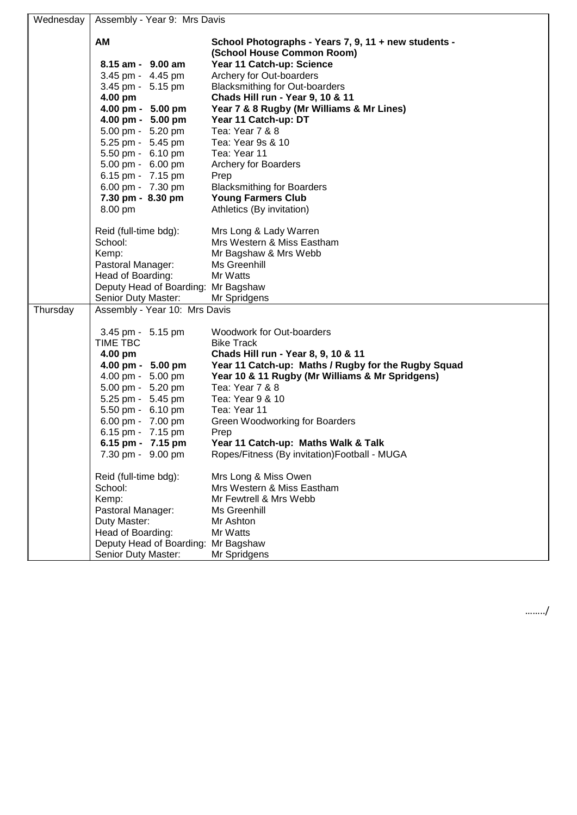| Wednesday | Assembly - Year 9: Mrs Davis        |                                                                                    |  |
|-----------|-------------------------------------|------------------------------------------------------------------------------------|--|
|           | AM                                  | School Photographs - Years 7, 9, 11 + new students -<br>(School House Common Room) |  |
|           | 8.15 am - 9.00 am                   | Year 11 Catch-up: Science                                                          |  |
|           | 3.45 pm - 4.45 pm                   | Archery for Out-boarders                                                           |  |
|           | 3.45 pm - 5.15 pm                   | <b>Blacksmithing for Out-boarders</b>                                              |  |
|           | 4.00 pm                             | Chads Hill run - Year 9, 10 & 11                                                   |  |
|           | 4.00 pm - 5.00 pm                   | Year 7 & 8 Rugby (Mr Williams & Mr Lines)                                          |  |
|           | 4.00 pm - 5.00 pm                   | Year 11 Catch-up: DT                                                               |  |
|           | 5.00 pm - 5.20 pm                   | Tea: Year 7 & 8                                                                    |  |
|           | 5.25 pm - 5.45 pm                   | Tea: Year 9s & 10                                                                  |  |
|           | 5.50 pm - 6.10 pm                   | Tea: Year 11                                                                       |  |
|           | 5.00 pm - 6.00 pm                   | Archery for Boarders                                                               |  |
|           | 6.15 pm - 7.15 pm                   | Prep                                                                               |  |
|           | 6.00 pm - 7.30 pm                   | <b>Blacksmithing for Boarders</b>                                                  |  |
|           | 7.30 pm - 8.30 pm                   | <b>Young Farmers Club</b>                                                          |  |
|           | 8.00 pm                             | Athletics (By invitation)                                                          |  |
|           |                                     |                                                                                    |  |
|           | Reid (full-time bdg):               | Mrs Long & Lady Warren<br>Mrs Western & Miss Eastham                               |  |
|           | School:                             | Mr Bagshaw & Mrs Webb                                                              |  |
|           | Kemp:<br>Pastoral Manager:          | Ms Greenhill                                                                       |  |
|           | Head of Boarding:                   | Mr Watts                                                                           |  |
|           | Deputy Head of Boarding: Mr Bagshaw |                                                                                    |  |
|           | Senior Duty Master:                 | Mr Spridgens                                                                       |  |
| Thursday  | Assembly - Year 10: Mrs Davis       |                                                                                    |  |
|           |                                     |                                                                                    |  |
|           | 3.45 pm - 5.15 pm                   | Woodwork for Out-boarders                                                          |  |
|           | TIME TBC                            | <b>Bike Track</b>                                                                  |  |
|           | 4.00 pm                             | Chads Hill run - Year 8, 9, 10 & 11                                                |  |
|           | 4.00 pm - 5.00 pm                   | Year 11 Catch-up: Maths / Rugby for the Rugby Squad                                |  |
|           | 4.00 pm - 5.00 pm                   | Year 10 & 11 Rugby (Mr Williams & Mr Spridgens)                                    |  |
|           | 5.00 pm - 5.20 pm                   | Tea: Year 7 & 8                                                                    |  |
|           | 5.25 pm - 5.45 pm                   | Tea: Year 9 & 10                                                                   |  |
|           | 5.50 pm - 6.10 pm                   | Tea: Year 11                                                                       |  |
|           | 6.00 pm - 7.00 pm                   | Green Woodworking for Boarders                                                     |  |
|           | 6.15 pm - 7.15 pm                   | Prep                                                                               |  |
|           | 6.15 pm - 7.15 pm                   | Year 11 Catch-up: Maths Walk & Talk                                                |  |
|           | 7.30 pm - 9.00 pm                   | Ropes/Fitness (By invitation)Football - MUGA                                       |  |
|           | Reid (full-time bdg):               | Mrs Long & Miss Owen                                                               |  |
|           | School:                             | Mrs Western & Miss Eastham                                                         |  |
|           | Kemp:                               | Mr Fewtrell & Mrs Webb                                                             |  |
|           | Pastoral Manager:                   | Ms Greenhill                                                                       |  |
|           | Duty Master:                        | Mr Ashton                                                                          |  |
|           | Head of Boarding:                   | Mr Watts                                                                           |  |
|           | Deputy Head of Boarding: Mr Bagshaw |                                                                                    |  |
|           | Senior Duty Master:                 | Mr Spridgens                                                                       |  |
|           |                                     |                                                                                    |  |